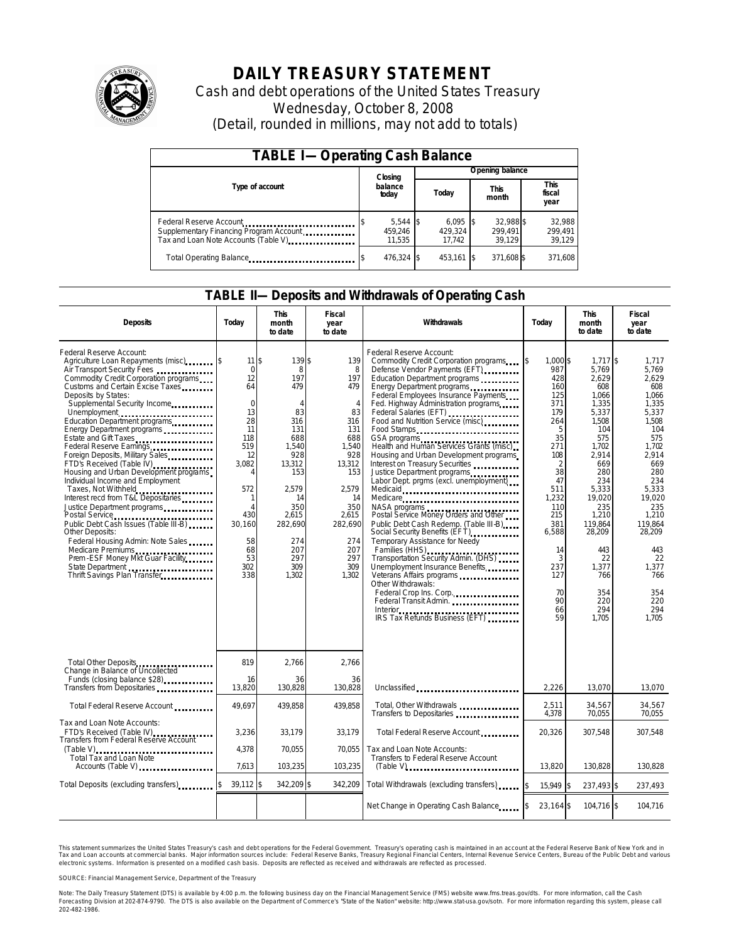

## **DAILY TREASURY STATEMENT**

Cash and debt operations of the United States Treasury Wednesday, October 8, 2008 (Detail, rounded in millions, may not add to totals)

| <b>TABLE I-Operating Cash Balance</b>                                           |                                 |                                 |                                |                               |  |  |  |
|---------------------------------------------------------------------------------|---------------------------------|---------------------------------|--------------------------------|-------------------------------|--|--|--|
|                                                                                 | Closing                         | Opening balance                 |                                |                               |  |  |  |
| Type of account                                                                 | balance<br>today                | Today                           | <b>This</b><br>month           | <b>This</b><br>fiscal<br>year |  |  |  |
| Supplementary Financing Program Account<br>Tax and Loan Note Accounts (Table V) | $5,544$ \$<br>459.246<br>11.535 | $6,095$ \$<br>429.324<br>17.742 | 32.988 \$<br>299.491<br>39.129 | 32,988<br>299,491<br>39,129   |  |  |  |
| Total Operating Balance                                                         | 476,324 \$                      | 453,161 \$                      | 371,608 \$                     | 371,608                       |  |  |  |

### **TABLE II—Deposits and Withdrawals of Operating Cash**

| <b>Deposits</b>                                                                                                                                                                                                                                                                                                                                                                                                                                                                                                                                                                                                                                                                                                                                                                                                                                                  | Todav                                                                                                                                                                                   | <b>This</b><br>month<br>to date                                                                                                                                                 | Fiscal<br>year<br>to date                                                                                                                                                           | Withdrawals                                                                                                                                                                                                                                                                                                                                                                                                                                                                                                                                                                                                                                                                                                                                                                                                                                                                                              | Todav                                                                                                                                                                                              | <b>This</b><br>month<br>to date                                                                                                                                                                                                                 | Fiscal<br>year<br>to date                                                                                                                                                                                                                  |
|------------------------------------------------------------------------------------------------------------------------------------------------------------------------------------------------------------------------------------------------------------------------------------------------------------------------------------------------------------------------------------------------------------------------------------------------------------------------------------------------------------------------------------------------------------------------------------------------------------------------------------------------------------------------------------------------------------------------------------------------------------------------------------------------------------------------------------------------------------------|-----------------------------------------------------------------------------------------------------------------------------------------------------------------------------------------|---------------------------------------------------------------------------------------------------------------------------------------------------------------------------------|-------------------------------------------------------------------------------------------------------------------------------------------------------------------------------------|----------------------------------------------------------------------------------------------------------------------------------------------------------------------------------------------------------------------------------------------------------------------------------------------------------------------------------------------------------------------------------------------------------------------------------------------------------------------------------------------------------------------------------------------------------------------------------------------------------------------------------------------------------------------------------------------------------------------------------------------------------------------------------------------------------------------------------------------------------------------------------------------------------|----------------------------------------------------------------------------------------------------------------------------------------------------------------------------------------------------|-------------------------------------------------------------------------------------------------------------------------------------------------------------------------------------------------------------------------------------------------|--------------------------------------------------------------------------------------------------------------------------------------------------------------------------------------------------------------------------------------------|
| Federal Reserve Account:<br>Agriculture Loan Repayments (misc) [\$<br>Air Transport Security Fees<br>Commodity Credit Corporation programs<br>Customs and Certain Excise Taxes<br>Deposits by States:<br>Supplemental Security Income<br>Unemployment<br>Education Department programs<br>Energy Department programs<br>Estate and Gift Taxes<br>Foreign Deposits, Military Sales<br>FTD's Received (Table IV)<br>Housing and Urban Development programs<br>Individual Income and Employment<br>Taxes, Not Withheld<br>Interest recd from T&L Depositaries<br>Justice Department programs<br>Postal Service<br>Public Debt Cash Issues (Table III-B)<br><b>Other Deposits:</b><br>Federal Housing Admin: Note Sales<br>Medicare Premiums<br>Prem ESF Money Mkt Guar Facility<br>State Department<br>Thrift Savings Plan Transfer<br>Thrift Savings Plan Transfer | $11$ \$<br>$\mathbf 0$<br>12<br>64<br>$\overline{0}$<br>13<br>28<br>11<br>118<br>519<br>12<br>3,082<br>572<br>$\mathbf{1}$<br>$\Delta$<br>430<br>30.160<br>58<br>68<br>53<br>302<br>338 | 139\$<br>8<br>197<br>479<br>$\Delta$<br>83<br>316<br>131<br>688<br>1,540<br>928<br>13,312<br>153<br>2,579<br>14<br>350<br>2,615<br>282,690<br>274<br>207<br>297<br>309<br>1,302 | 139<br>8<br>197<br>479<br>$\overline{4}$<br>83<br>316<br>131<br>688<br>1,540<br>928<br>13,312<br>153<br>2,579<br>14<br>350<br>2,615<br>282,690<br>274<br>207<br>297<br>309<br>1,302 | Federal Reserve Account:<br>Commodity Credit Corporation programs<br>Defense Vendor Payments (EFT)<br>Education Department programs<br>Energy Department programs<br>Federal Employees Insurance Payments<br>Fed. Highway Administration programs<br>Federal Salaries (EFT)<br>Food and Nutrition Service (misc)<br>Food Stamps<br>Health and Human Services Grants (misc)<br>Housing and Urban Development programs<br>Interest on Treasury Securities<br>Justice Department programs<br>Labor Dept. prgms (excl. unemployment)<br>Medicaid<br>Medicare<br>NASA programs<br>Postal Service Money Orders and Other<br>Public Debt Cash Redemp. (Table III-B)<br>Social Security Benefits (EFT)<br>Temporary Assistance for Needy<br>Families (HHS)<br>Transportation Security Admin. (DHS)<br>Unemployment Insurance Benefits<br>Other Withdrawals:<br>Federal Crop Ins. Corp.<br>Federal Transit Admin. | 1.000 \$<br>987<br>428<br>160<br>125<br>371<br>179<br>264<br>5<br>35<br>271<br>108<br>2<br>38<br>47<br>511<br>1,232<br>110<br>215<br>381<br>6,588<br>14<br>3<br>237<br>127<br>70<br>90<br>66<br>59 | $1,717$ \$<br>5,769<br>2,629<br>608<br>1.066<br>1,335<br>5,337<br>1,508<br>104<br>575<br>1,702<br>2,914<br>669<br>280<br>234<br>5,333<br>19,020<br>235<br>1,210<br>119.864<br>28,209<br>443<br>22<br>1,377<br>766<br>354<br>220<br>294<br>1,705 | 1,717<br>5.769<br>2.629<br>608<br>1.066<br>1,335<br>5,337<br>1,508<br>104<br>575<br>1,702<br>2,914<br>669<br>280<br>234<br>5,333<br>19.020<br>235<br>1,210<br>119.864<br>28,209<br>443<br>22<br>1.377<br>766<br>354<br>220<br>294<br>1.705 |
| Total Other Deposits<br>Change in Balance of Uncollected<br>Funds (closing balance \$28)                                                                                                                                                                                                                                                                                                                                                                                                                                                                                                                                                                                                                                                                                                                                                                         | 819<br>16                                                                                                                                                                               | 2,766<br>36                                                                                                                                                                     | 2,766<br>36                                                                                                                                                                         |                                                                                                                                                                                                                                                                                                                                                                                                                                                                                                                                                                                                                                                                                                                                                                                                                                                                                                          |                                                                                                                                                                                                    |                                                                                                                                                                                                                                                 |                                                                                                                                                                                                                                            |
| Transfers from Depositaries                                                                                                                                                                                                                                                                                                                                                                                                                                                                                                                                                                                                                                                                                                                                                                                                                                      | 13,820                                                                                                                                                                                  | 130,828                                                                                                                                                                         | 130,828                                                                                                                                                                             | Unclassified                                                                                                                                                                                                                                                                                                                                                                                                                                                                                                                                                                                                                                                                                                                                                                                                                                                                                             | 2,226                                                                                                                                                                                              | 13,070                                                                                                                                                                                                                                          | 13,070                                                                                                                                                                                                                                     |
| Total Federal Reserve Account                                                                                                                                                                                                                                                                                                                                                                                                                                                                                                                                                                                                                                                                                                                                                                                                                                    | 49.697                                                                                                                                                                                  | 439.858                                                                                                                                                                         | 439.858                                                                                                                                                                             | Total, Other Withdrawals<br>Transfers to Depositaries <b>container</b> the contact of the contact of the contact of the contact of the contact of the contact of the contact of the contact of the contact of the contact of the contact of the contact of the                                                                                                                                                                                                                                                                                                                                                                                                                                                                                                                                                                                                                                           | 2,511<br>4.378                                                                                                                                                                                     | 34,567<br>70,055                                                                                                                                                                                                                                | 34,567<br>70,055                                                                                                                                                                                                                           |
| Tax and Loan Note Accounts:<br>FTD's Received (Table IV)<br>Transfers from Federal Reserve Account                                                                                                                                                                                                                                                                                                                                                                                                                                                                                                                                                                                                                                                                                                                                                               | 3,236                                                                                                                                                                                   | 33.179                                                                                                                                                                          | 33.179                                                                                                                                                                              | Total Federal Reserve Account                                                                                                                                                                                                                                                                                                                                                                                                                                                                                                                                                                                                                                                                                                                                                                                                                                                                            | 20.326                                                                                                                                                                                             | 307.548                                                                                                                                                                                                                                         | 307.548                                                                                                                                                                                                                                    |
| Total Tax and Loan Note<br>Accounts (Table V)                                                                                                                                                                                                                                                                                                                                                                                                                                                                                                                                                                                                                                                                                                                                                                                                                    | 4,378<br>7.613                                                                                                                                                                          | 70,055<br>103,235                                                                                                                                                               | 70,055<br>103,235                                                                                                                                                                   | Tax and Loan Note Accounts:<br>Transfers to Federal Reserve Account<br>$(Table V)$                                                                                                                                                                                                                                                                                                                                                                                                                                                                                                                                                                                                                                                                                                                                                                                                                       | 13.820                                                                                                                                                                                             | 130.828                                                                                                                                                                                                                                         | 130.828                                                                                                                                                                                                                                    |
| Total Deposits (excluding transfers)                                                                                                                                                                                                                                                                                                                                                                                                                                                                                                                                                                                                                                                                                                                                                                                                                             | 39.112 \$                                                                                                                                                                               | 342,209 \$                                                                                                                                                                      | 342,209                                                                                                                                                                             | Total Withdrawals (excluding transfers)                                                                                                                                                                                                                                                                                                                                                                                                                                                                                                                                                                                                                                                                                                                                                                                                                                                                  | 15,949 \$                                                                                                                                                                                          | 237,493 \$                                                                                                                                                                                                                                      | 237,493                                                                                                                                                                                                                                    |
|                                                                                                                                                                                                                                                                                                                                                                                                                                                                                                                                                                                                                                                                                                                                                                                                                                                                  |                                                                                                                                                                                         |                                                                                                                                                                                 |                                                                                                                                                                                     | Net Change in Operating Cash Balance                                                                                                                                                                                                                                                                                                                                                                                                                                                                                                                                                                                                                                                                                                                                                                                                                                                                     | 23,164 \$                                                                                                                                                                                          | 104,716 \$                                                                                                                                                                                                                                      | 104,716                                                                                                                                                                                                                                    |

This statement summarizes the United States Treasury's cash and debt operations for the Federal Government. Treasury's operating cash is maintained in an account at the Federal Reserve Bank of New York and in<br>Tax and Loan electronic systems. Information is presented on a modified cash basis. Deposits are reflected as received and withdrawals are reflected as processed.

SOURCE: Financial Management Service, Department of the Treasury

Note: The Daily Treasury Statement (DTS) is available by 4:00 p.m. the following business day on the Financial Management Service (FMS) website www.fms.treas.gov/dts. For more information, call the Cash Forecasting Division at 202-874-9790. The DTS is also available on the Department of Commerce's "State of the Nation" website: http://www.stat-usa.gov/sotn. For more information regarding this system, please call<br>202-482-1